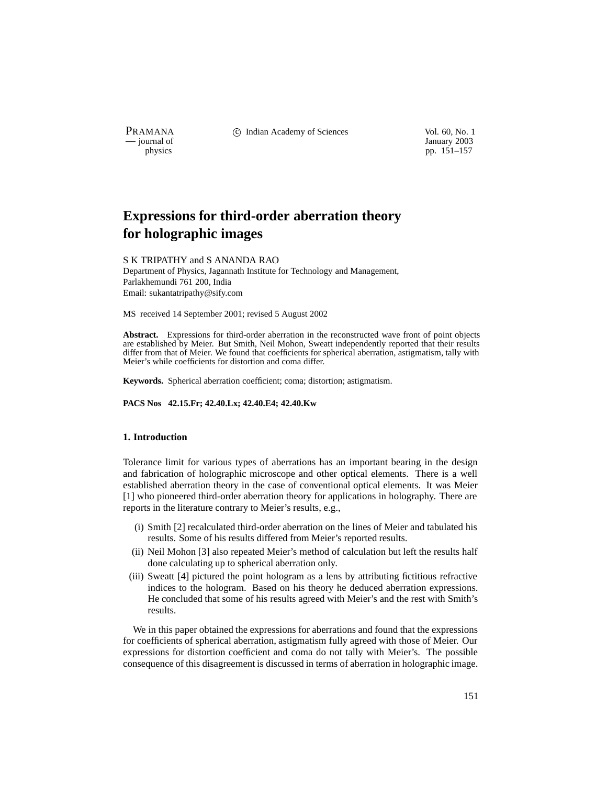PRAMANA 
<sup>c</sup> Indian Academy of Sciences Vol. 60, No. 1 Units Use Vol. 60, No. 1 Units Vol. 60, No. 1 Units Vol. 60, No. 1 Units Vol. 60, No. 1 Units Vol. 60, No. 1 Units Vol. 60, No. 1 Units Vol. 60, No. 1 Units Vol. 60, N

January 2003 physics pp. 151–157

# **Expressions for third-order aberration theory for holographic images**

## S K TRIPATHY and S ANANDA RAO

Department of Physics, Jagannath Institute for Technology and Management, Parlakhemundi 761 200, India Email: sukantatripathy@sify.com

MS received 14 September 2001; revised 5 August 2002

**Abstract.** Expressions for third-order aberration in the reconstructed wave front of point objects are established by Meier. But Smith, Neil Mohon, Sweatt independently reported that their results differ from that of Meier. We found that coefficients for spherical aberration, astigmatism, tally with Meier's while coefficients for distortion and coma differ.

**Keywords.** Spherical aberration coefficient; coma; distortion; astigmatism.

**PACS Nos 42.15.Fr; 42.40.Lx; 42.40.E4; 42.40.Kw**

# **1. Introduction**

Tolerance limit for various types of aberrations has an important bearing in the design and fabrication of holographic microscope and other optical elements. There is a well established aberration theory in the case of conventional optical elements. It was Meier [1] who pioneered third-order aberration theory for applications in holography. There are reports in the literature contrary to Meier's results, e.g.,

- (i) Smith [2] recalculated third-order aberration on the lines of Meier and tabulated his results. Some of his results differed from Meier's reported results.
- (ii) Neil Mohon [3] also repeated Meier's method of calculation but left the results half done calculating up to spherical aberration only.
- (iii) Sweatt [4] pictured the point hologram as a lens by attributing fictitious refractive indices to the hologram. Based on his theory he deduced aberration expressions. He concluded that some of his results agreed with Meier's and the rest with Smith's results.

We in this paper obtained the expressions for aberrations and found that the expressions for coefficients of spherical aberration, astigmatism fully agreed with those of Meier. Our expressions for distortion coefficient and coma do not tally with Meier's. The possible consequence of this disagreement is discussed in terms of aberration in holographic image.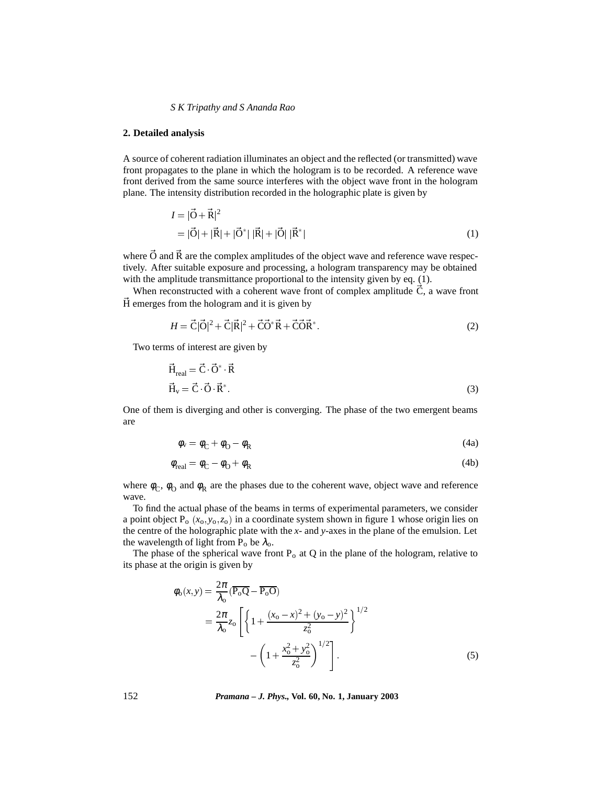### *S K Tripathy and S Ananda Rao*

## **2. Detailed analysis**

A source of coherent radiation illuminates an object and the reflected (or transmitted) wave front propagates to the plane in which the hologram is to be recorded. A reference wave front derived from the same source interferes with the object wave front in the hologram plane. The intensity distribution recorded in the holographic plate is given by

$$
I = |\vec{O} + \vec{R}|^2
$$
  
=  $|\vec{O}| + |\vec{R}| + |\vec{O}^*| |\vec{R}| + |\vec{O}| |\vec{R}^*|$  (1)

where  $\vec{O}$  and  $\vec{R}$  are the complex amplitudes of the object wave and reference wave respectively. After suitable exposure and processing, a hologram transparency may be obtained with the amplitude transmittance proportional to the intensity given by eq. (1).

When reconstructed with a coherent wave front of complex amplitude  $\vec{C}$ , a wave front  $\vec{H}$  emerges from the hologram and it is given by

$$
H = \vec{C}|\vec{O}|^2 + \vec{C}|\vec{R}|^2 + \vec{C}\vec{O}^*\vec{R} + \vec{C}\vec{O}\vec{R}^*.
$$
 (2)

Two terms of interest are given by

$$
\vec{H}_{real} = \vec{C} \cdot \vec{O}^* \cdot \vec{R}
$$
\n
$$
\vec{H}_v = \vec{C} \cdot \vec{O} \cdot \vec{R}^*.
$$
\n(3)

One of them is diverging and other is converging. The phase of the two emergent beams are

$$
\phi_{\rm v} = \phi_{\rm C} + \phi_{\rm O} - \phi_{\rm R} \tag{4a}
$$

$$
\phi_{\text{real}} = \phi_{\text{C}} - \phi_{\text{O}} + \phi_{\text{R}} \tag{4b}
$$

where  $\phi_C$ ,  $\phi_O$  and  $\phi_R$  are the phases due to the coherent wave, object wave and reference wave.

To find the actual phase of the beams in terms of experimental parameters, we consider a point object  $P_0(x_0, y_0, z_0)$  in a coordinate system shown in figure 1 whose origin lies on the centre of the holographic plate with the *x*- and *y*-axes in the plane of the emulsion. Let the wavelength of light from  $P_0$  be  $\lambda_0$ .

The phase of the spherical wave front  $P_0$  at Q in the plane of the hologram, relative to its phase at the origin is given by

$$
\phi_{o}(x,y) = \frac{2\pi}{\lambda_{o}} (\overline{P_{o}Q} - \overline{P_{o}O})
$$
\n
$$
= \frac{2\pi}{\lambda_{o}} z_{o} \left[ \left\{ 1 + \frac{(x_{o} - x)^{2} + (y_{o} - y)^{2}}{z_{o}^{2}} \right\}^{1/2} - \left( 1 + \frac{x_{o}^{2} + y_{o}^{2}}{z_{o}^{2}} \right)^{1/2} \right].
$$
\n(5)

152 *Pramana – J. Phys.,* **Vol. 60, No. 1, January 2003**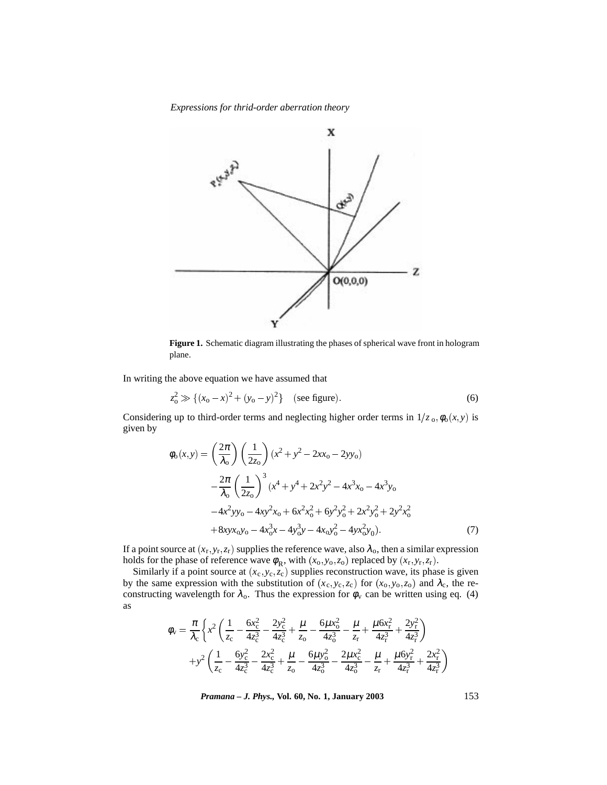*Expressions for thrid-order aberration theory*



**Figure 1.** Schematic diagram illustrating the phases of spherical wave front in hologram plane.

In writing the above equation we have assumed that

$$
z_0^2 \gg \{(x_0 - x)^2 + (y_0 - y)^2\}
$$
 (see figure). (6)

Considering up to third-order terms and neglecting higher order terms in  $1/z_0$ ,  $\phi_0(x, y)$  is given by

$$
\phi_0(x, y) = \left(\frac{2\pi}{\lambda_0}\right) \left(\frac{1}{2z_0}\right) (x^2 + y^2 - 2xx_0 - 2yy_0)
$$

$$
- \frac{2\pi}{\lambda_0} \left(\frac{1}{2z_0}\right)^3 (x^4 + y^4 + 2x^2y^2 - 4x^3x_0 - 4x^3y_0
$$

$$
- 4x^2yy_0 - 4xy^2x_0 + 6x^2x_0^2 + 6y^2y_0^2 + 2x^2y_0^2 + 2y^2x_0^2
$$

$$
+ 8xyx_0y_0 - 4x_0^3x - 4y_0^3y - 4x_0y_0^2 - 4yx_0^2y_0). \tag{7}
$$

If a point source at  $(x_r, y_r, z_r)$  supplies the reference wave, also  $\lambda_o$ , then a similar expression holds for the phase of reference wave  $\phi_R$ , with  $(x_0, y_0, z_0)$  replaced by  $(x_r, y_r, z_r)$ .

Similarly if a point source at  $(x_c, y_c, z_c)$  supplies reconstruction wave, its phase is given by the same expression with the substitution of  $(x_c, y_c, z_c)$  for  $(x_o, y_o, z_o)$  and  $\lambda_c$ , the reconstructing wavelength for  $\lambda_0$ . Thus the expression for  $\phi_v$  can be written using eq. (4) as

$$
\phi_{v} = \frac{\pi}{\lambda_{c}} \left\{ x^{2} \left( \frac{1}{z_{c}} - \frac{6x_{c}^{2}}{4z_{c}^{3}} - \frac{2y_{c}^{2}}{4z_{c}^{3}} + \frac{\mu}{z_{o}} - \frac{6\mu x_{o}^{2}}{4z_{o}^{3}} - \frac{\mu}{z_{r}} + \frac{\mu 6x_{r}^{2}}{4z_{r}^{3}} + \frac{2y_{r}^{2}}{4z_{r}^{3}} \right) + y^{2} \left( \frac{1}{z_{c}} - \frac{6y_{c}^{2}}{4z_{c}^{3}} - \frac{2x_{c}^{2}}{4z_{c}^{3}} + \frac{\mu}{z_{o}} - \frac{6\mu y_{o}^{2}}{4z_{o}^{3}} - \frac{2\mu x_{c}^{2}}{4z_{o}^{3}} - \frac{\mu}{z_{r}} + \frac{\mu 6y_{r}^{2}}{4z_{r}^{3}} + \frac{2x_{r}^{2}}{4z_{r}^{3}} \right)
$$

*Pramana – J. Phys.,* **Vol. 60, No. 1, January 2003** 153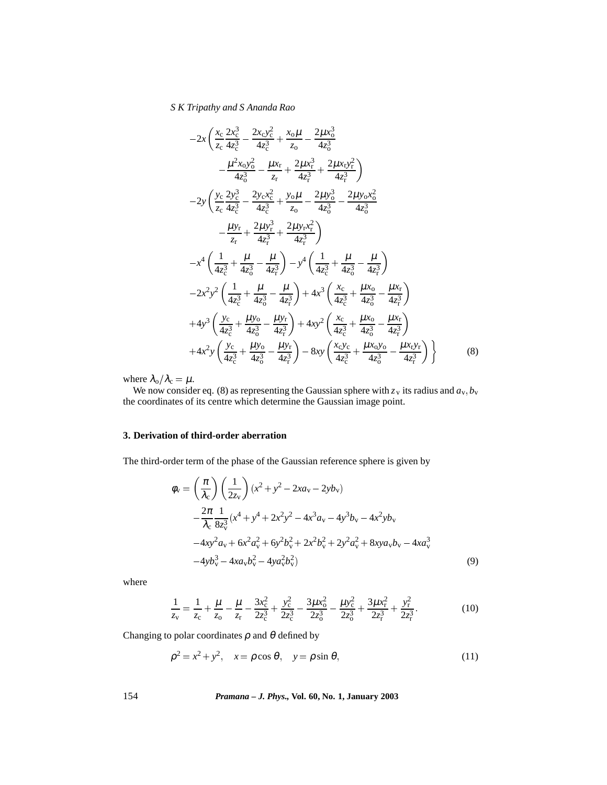# *S K Tripathy and S Ananda Rao*

$$
-2x\left(\frac{x_c}{z_c}\frac{2x_c^3}{4z_c^3} - \frac{2x_cy_c^2}{4z_c^3} + \frac{x_o\mu}{z_o} - \frac{2\mu x_o^3}{4z_o^3} - \frac{\mu x_r}{4z_c^3} - \frac{\mu x_r}{4z_c^3} + \frac{2\mu x_ry_r^2}{4z_c^3}\right) -2y\left(\frac{y_c}{z_c}\frac{2y_c^3}{4z_c^3} - \frac{2y_cx_c^2}{4z_c^3} + \frac{y_o\mu}{z_o} - \frac{2\mu y_o^3}{4z_o^3} - \frac{2\mu y_ox_o^2}{4z_o^3} - \frac{\mu y_r}{4z_r^3} + \frac{2\mu y_rx_r^2}{4z_r^3}\right) -x^4\left(\frac{1}{4z_c^3} + \frac{\mu}{4z_o^3} - \frac{\mu}{4z_o^3}\right) - y^4\left(\frac{1}{4z_c^3} + \frac{\mu}{4z_o^3} - \frac{\mu}{4z_r^3}\right) -2x^2y^2\left(\frac{1}{4z_c^3} + \frac{\mu}{4z_o^3} - \frac{\mu}{4z_o^3}\right) + 4x^3\left(\frac{x_c}{4z_c^3} + \frac{\mu x_o}{4z_o^3} - \frac{\mu x_r}{4z_o^3}\right) +4y^3\left(\frac{y_c}{4z_c^3} + \frac{\mu y_o}{4z_o^3} - \frac{\mu y_r}{4z_r^3}\right) + 4xy^2\left(\frac{x_c}{4z_c^3} + \frac{\mu x_o}{4z_o^3} - \frac{\mu x_r}{4z_r^3}\right) +4x^2y\left(\frac{y_c}{4z_c^3} + \frac{\mu y_o}{4z_o^3} - \frac{\mu y_r}{4z_r^3}\right) - 8xy\left(\frac{x_cy_c}{4z_c^3} + \frac{\mu x_oy_o}{4z_o^3} - \frac{\mu x_ry_r}{4z_r^3}\right)
$$
(8)

where  $\lambda_{\rm o}/\lambda_{\rm c} = \mu$ .

We now consider eq. (8) as representing the Gaussian sphere with  $z_v$  its radius and  $a_v$ ,  $b_v$ the coordinates of its centre which determine the Gaussian image point.

# **3. Derivation of third-order aberration**

The third-order term of the phase of the Gaussian reference sphere is given by

$$
\phi_{v} = \left(\frac{\pi}{\lambda_{c}}\right) \left(\frac{1}{2z_{v}}\right) (x^{2} + y^{2} - 2xa_{v} - 2yb_{v})
$$
\n
$$
- \frac{2\pi}{\lambda_{c}} \frac{1}{8z_{v}^{3}} (x^{4} + y^{4} + 2x^{2}y^{2} - 4x^{3}a_{v} - 4y^{3}b_{v} - 4x^{2}yb_{v}
$$
\n
$$
- 4xy^{2}a_{v} + 6x^{2}a_{v}^{2} + 6y^{2}b_{v}^{2} + 2x^{2}b_{v}^{2} + 2y^{2}a_{v}^{2} + 8xya_{v}b_{v} - 4xa_{v}^{3}
$$
\n
$$
- 4yb_{v}^{3} - 4xa_{v}b_{v}^{2} - 4ya_{v}^{2}b_{v}^{2}
$$
\n(9)

where

$$
\frac{1}{z_v} = \frac{1}{z_c} + \frac{\mu}{z_o} - \frac{\mu}{z_r} - \frac{3x_c^2}{2z_c^3} + \frac{y_c^2}{2z_c^3} - \frac{3\mu x_o^2}{2z_o^3} - \frac{\mu y_c^2}{2z_o^3} + \frac{3\mu x_r^2}{2z_r^3} + \frac{y_r^2}{2z_r^3}.
$$
(10)

Changing to polar coordinates  $\rho$  and  $\theta$  defined by

$$
\rho^2 = x^2 + y^2, \quad x = \rho \cos \theta, \quad y = \rho \sin \theta,
$$
\n(11)

154 *Pramana – J. Phys.,* **Vol. 60, No. 1, January 2003**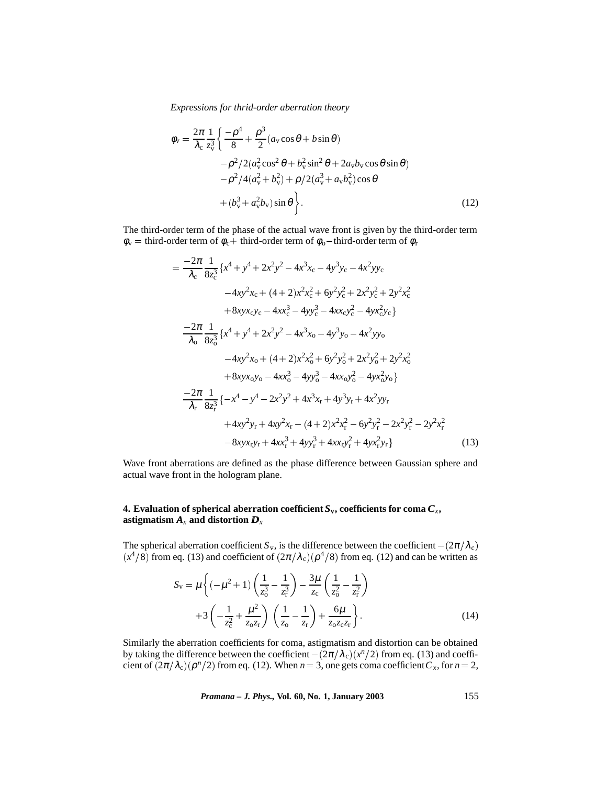*Expressions for thrid-order aberration theory*

$$
\phi_{v} = \frac{2\pi}{\lambda_{c}} \frac{1}{z_{v}^{3}} \left\{ \frac{-\rho^{4}}{8} + \frac{\rho^{3}}{2} (a_{v} \cos \theta + b \sin \theta) -\frac{\rho^{2}}{2} (a_{v}^{2} \cos^{2} \theta + b_{v}^{2} \sin^{2} \theta + 2a_{v}b_{v} \cos \theta \sin \theta) -\frac{\rho^{2}}{4} (a_{v}^{2} + b_{v}^{2}) + \frac{\rho}{2} (a_{v}^{3} + a_{v}b_{v}^{2}) \cos \theta + (b_{v}^{3} + a_{v}^{2}b_{v}) \sin \theta \right\}.
$$
\n(12)

The third-order term of the phase of the actual wave front is given by the third-order term  $\phi_v$  = third-order term of  $\phi_c$  + third-order term of  $\phi_o$  -third-order term of  $\phi_r$ 

$$
= \frac{-2\pi}{\lambda_c} \frac{1}{8z_c^3} \{ x^4 + y^4 + 2x^2y^2 - 4x^3x_c - 4y^3y_c - 4x^2yy_c \n-4xy^2x_c + (4+2)x^2x_c^2 + 6y^2y_c^2 + 2x^2y_c^2 + 2y^2x_c^2 \n+8xyx_cy_c - 4xx_c^3 - 4yy_c^3 - 4xx_cy_c^2 - 4yx_c^2y_c \}
$$
\n
$$
\frac{-2\pi}{\lambda_c} \frac{1}{8z_o^3} \{ x^4 + y^4 + 2x^2y^2 - 4x^3x_o - 4y^3y_o - 4x^2yy_o \n-4xy^2x_o + (4+2)x^2x_o^2 + 6y^2y_o^2 + 2x^2y_o^2 + 2y^2x_o^2 \n+8xyx_oy_o - 4xx_o^3 - 4yy_o^3 - 4xx_oy_o^2 - 4yx_o^2y_o \}
$$
\n
$$
\frac{-2\pi}{\lambda_r} \frac{1}{8z_c^3} \{ -x^4 - y^4 - 2x^2y^2 + 4x^3x_r + 4y^3y_r + 4x^2yy_r \n+4xy^2y_r + 4xy^2x_r - (4+2)x^2x_r^2 - 6y^2y_r^2 - 2x^2y_r^2 - 2y^2x_r^2 \n-8xyx_ry_r + 4xx_r^3 + 4yy_r^3 + 4xx_ry_r^2 + 4yx_r^2y_r \}
$$
\n(13)

Wave front aberrations are defined as the phase difference between Gaussian sphere and actual wave front in the hologram plane.

# **4. Evaluation of spherical aberration coefficient**  $S_v$ **, coefficients for coma**  $C_x$ **,** astigmatism  $A_x$  and distortion  $D_x$

The spherical aberration coefficient *S*<sub>v</sub>, is the difference between the coefficient  $-(2\pi/\lambda_c)$  $(x^4/8)$  from eq. (13) and coefficient of  $(2\pi/\lambda_c)(\rho^4/8)$  from eq. (12) and can be written as

$$
S_{\rm v} = \mu \left\{ (-\mu^2 + 1) \left( \frac{1}{z_0^3} - \frac{1}{z_{\rm r}^3} \right) - \frac{3\mu}{z_{\rm c}} \left( \frac{1}{z_0^2} - \frac{1}{z_{\rm r}^2} \right) \right.+ 3 \left( -\frac{1}{z_{\rm c}^2} + \frac{\mu^2}{z_{\rm o} z_{\rm r}} \right) \left( \frac{1}{z_{\rm o}} - \frac{1}{z_{\rm r}} \right) + \frac{6\mu}{z_{\rm o} z_{\rm c} z_{\rm r}} \right\}.
$$
(14)

Similarly the aberration coefficients for coma, astigmatism and distortion can be obtained by taking the difference between the coefficient  $-(2\pi/\lambda_c)(x^n/2)$  from eq. (13) and coefficient of  $(2\pi/\lambda_c)(\rho^n/2)$  from eq. (12). When  $n = 3$ , one gets coma coefficient  $C_x$ , for  $n = 2$ ,

*Pramana – J. Phys.,* **Vol. 60, No. 1, January 2003** 155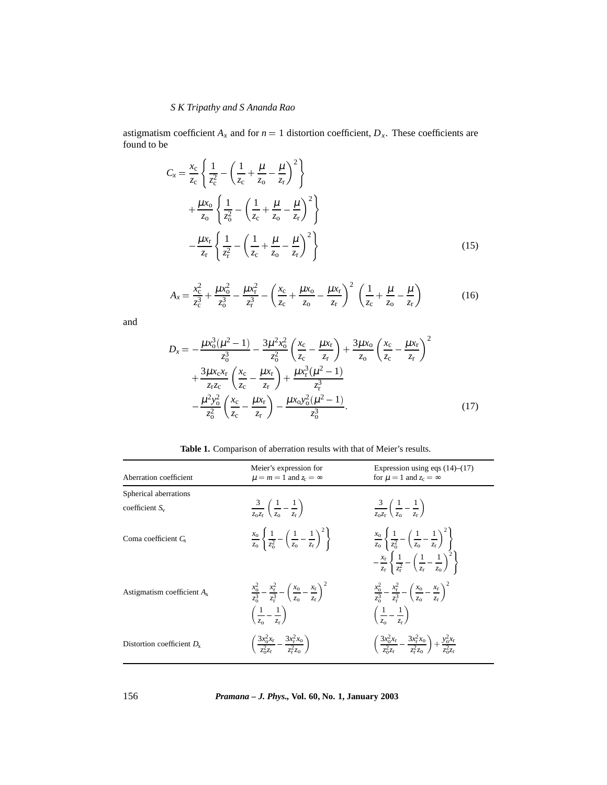# *S K Tripathy and S Ananda Rao*

astigmatism coefficient  $A_x$  and for  $n = 1$  distortion coefficient,  $D_x$ . These coefficients are found to be

$$
C_{x} = \frac{x_{c}}{z_{c}} \left\{ \frac{1}{z_{c}^{2}} - \left( \frac{1}{z_{c}} + \frac{\mu}{z_{o}} - \frac{\mu}{z_{r}} \right)^{2} \right\}
$$
  
+ 
$$
\frac{\mu x_{o}}{z_{o}} \left\{ \frac{1}{z_{o}^{2}} - \left( \frac{1}{z_{c}} + \frac{\mu}{z_{o}} - \frac{\mu}{z_{r}} \right)^{2} \right\}
$$
  
- 
$$
\frac{\mu x_{r}}{z_{r}} \left\{ \frac{1}{z_{r}^{2}} - \left( \frac{1}{z_{c}} + \frac{\mu}{z_{o}} - \frac{\mu}{z_{r}} \right)^{2} \right\}
$$
(15)

$$
A_x = \frac{x_c^2}{z_c^3} + \frac{\mu x_o^2}{z_o^3} - \frac{\mu x_r^2}{z_r^3} - \left(\frac{x_c}{z_c} + \frac{\mu x_o}{z_o} - \frac{\mu x_r}{z_r}\right)^2 \left(\frac{1}{z_c} + \frac{\mu}{z_o} - \frac{\mu}{z_r}\right)
$$
(16)

and

$$
D_x = -\frac{\mu x_0^3 (\mu^2 - 1)}{z_0^3} - \frac{3\mu^2 x_0^2}{z_0^2} \left(\frac{x_c}{z_c} - \frac{\mu x_r}{z_r}\right) + \frac{3\mu x_0}{z_0} \left(\frac{x_c}{z_c} - \frac{\mu x_r}{z_r}\right)^2
$$
  
+ 
$$
\frac{3\mu x_c x_r}{z_r z_c} \left(\frac{x_c}{z_c} - \frac{\mu x_r}{z_r}\right) + \frac{\mu x_r^3 (\mu^2 - 1)}{z_r^3}
$$
  
- 
$$
\frac{\mu^2 y_0^2}{z_0^2} \left(\frac{x_c}{z_c} - \frac{\mu x_r}{z_r}\right) - \frac{\mu x_0 y_0^2 (\mu^2 - 1)}{z_0^3}.
$$
 (17)

**Table 1.** Comparison of aberration results with that of Meier's results.

| Aberration coefficient        | Meier's expression for<br>$\mu = m = 1$ and $z_c = \infty$                                                                                           | Expression using eqs $(14)$ – $(17)$<br>for $\mu = 1$ and $z_c = \infty$                                                                                                                                                       |
|-------------------------------|------------------------------------------------------------------------------------------------------------------------------------------------------|--------------------------------------------------------------------------------------------------------------------------------------------------------------------------------------------------------------------------------|
| Spherical aberrations         |                                                                                                                                                      |                                                                                                                                                                                                                                |
| coefficient $S_v$             | $rac{3}{z_0z_r}\left(\frac{1}{z_0}-\frac{1}{z_r}\right)$                                                                                             | $\frac{3}{z_0z_r}\left(\frac{1}{z_0}-\frac{1}{z_r}\right)$                                                                                                                                                                     |
| Coma coefficient $C_s$        | $\frac{x_0}{z_0} \left\{ \frac{1}{z_0^2} - \left( \frac{1}{z_0} - \frac{1}{z_r} \right)^2 \right\}$                                                  | $rac{x_0}{z_0} \left\{ \frac{1}{z_0^2} - \left( \frac{1}{z_0} - \frac{1}{z_r} \right)^2 \right\}$<br>$-\frac{x_{\rm r}}{z_{\rm r}}\left\{\frac{1}{z_{\rm r}^2}-\left(\frac{1}{z_{\rm r}}-\frac{1}{z_{\rm o}}\right)^2\right\}$ |
| Astigmatism coefficient $A_x$ | $\frac{x_0^2}{z^3} - \frac{x_{\rm r}^2}{z^3} - \left(\frac{x_0}{z_0} - \frac{x_{\rm r}}{z_0}\right)^2$<br>$\left(\frac{1}{z_0}-\frac{1}{z_r}\right)$ | $\frac{x_0^2}{z^3} - \frac{x_{\rm r}^2}{z^3} - \left(\frac{x_0}{z_0} - \frac{x_{\rm r}}{z_0}\right)^2$<br>$\left(\frac{1}{2}-\frac{1}{2}\right)$                                                                               |
| Distortion coefficient $D_x$  | $\left(\frac{3x_0^2x_r}{7^2z_r}-\frac{3x_r^2x_0}{z_r^2z_0}\right)^2$                                                                                 | $\left(\frac{3x_0^2x_r}{z_0^2z_r}-\frac{3x_r^2x_0}{z_0^2z_0}\right)+\frac{y_0^2x_r}{z_0^2z_r}$                                                                                                                                 |

156 *Pramana – J. Phys.,* **Vol. 60, No. 1, January 2003**